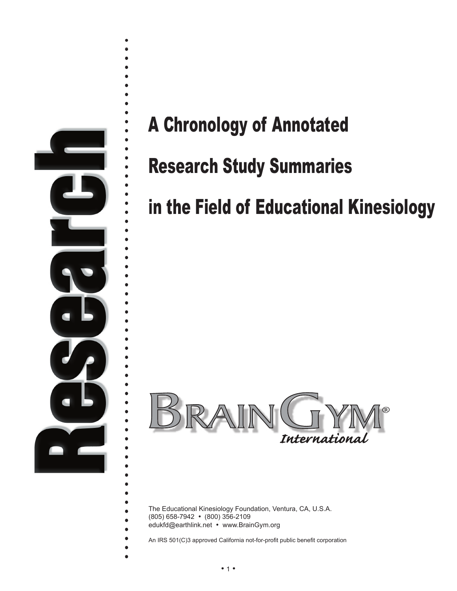

# A Chronology of Annotated

# Research Study Summaries

# in the Field of Educational Kinesiology



The Educational Kinesiology Foundation, Ventura, CA, U.S.A. (805) 658-7942 • (800) 356-2109

edukfd@earthlink.net • www.BrainGym.org

 $\bullet$ 

é  $\bullet$  $\bullet$  $\bullet$ 

An IRS 501(C)3 approved California not-for-profit public benefit corporation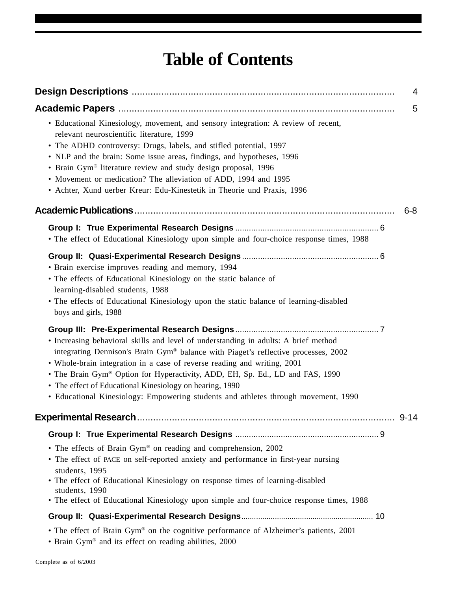## **Table of Contents**

|                                                                                                                                                                                                                                                                                                                                                                                                                                                                                               | 4        |
|-----------------------------------------------------------------------------------------------------------------------------------------------------------------------------------------------------------------------------------------------------------------------------------------------------------------------------------------------------------------------------------------------------------------------------------------------------------------------------------------------|----------|
|                                                                                                                                                                                                                                                                                                                                                                                                                                                                                               | 5        |
| • Educational Kinesiology, movement, and sensory integration: A review of recent,<br>relevant neuroscientific literature, 1999<br>• The ADHD controversy: Drugs, labels, and stifled potential, 1997<br>• NLP and the brain: Some issue areas, findings, and hypotheses, 1996<br>• Brain Gym® literature review and study design proposal, 1996<br>• Movement or medication? The alleviation of ADD, 1994 and 1995<br>• Achter, Xund uerber Kreur: Edu-Kinestetik in Theorie und Praxis, 1996 |          |
|                                                                                                                                                                                                                                                                                                                                                                                                                                                                                               | $6 - 8$  |
| • The effect of Educational Kinesiology upon simple and four-choice response times, 1988                                                                                                                                                                                                                                                                                                                                                                                                      |          |
| • Brain exercise improves reading and memory, 1994<br>• The effects of Educational Kinesiology on the static balance of<br>learning-disabled students, 1988<br>• The effects of Educational Kinesiology upon the static balance of learning-disabled<br>boys and girls, 1988                                                                                                                                                                                                                  |          |
| • Increasing behavioral skills and level of understanding in adults: A brief method<br>integrating Dennison's Brain Gym® balance with Piaget's reflective processes, 2002<br>• Whole-brain integration in a case of reverse reading and writing, 2001<br>• The Brain Gym® Option for Hyperactivity, ADD, EH, Sp. Ed., LD and FAS, 1990<br>• The effect of Educational Kinesiology on hearing, 1990<br>• Educational Kinesiology: Empowering students and athletes through movement, 1990      |          |
|                                                                                                                                                                                                                                                                                                                                                                                                                                                                                               | $9 - 14$ |
|                                                                                                                                                                                                                                                                                                                                                                                                                                                                                               |          |
| • The effects of Brain Gym® on reading and comprehension, 2002<br>• The effect of PACE on self-reported anxiety and performance in first-year nursing<br>students, 1995<br>• The effect of Educational Kinesiology on response times of learning-disabled<br>students, 1990<br>• The effect of Educational Kinesiology upon simple and four-choice response times, 1988                                                                                                                       |          |
|                                                                                                                                                                                                                                                                                                                                                                                                                                                                                               |          |
| • The effect of Brain Gym® on the cognitive performance of Alzheimer's patients, 2001<br>• Brain Gym® and its effect on reading abilities, 2000                                                                                                                                                                                                                                                                                                                                               |          |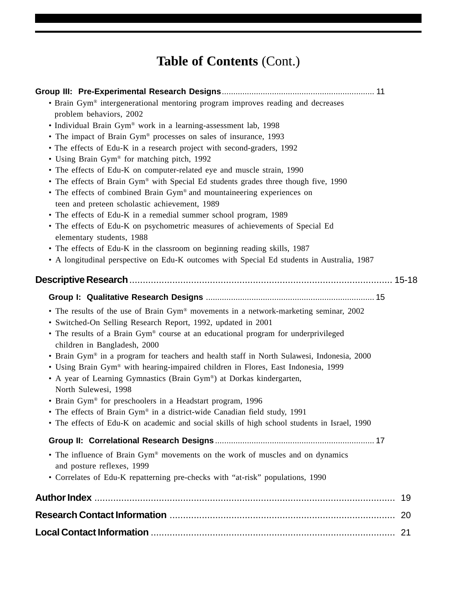## **Table of Contents** (Cont.)

| • Brain Gym® intergenerational mentoring program improves reading and decreases<br>problem behaviors, 2002<br>• Individual Brain Gym® work in a learning-assessment lab, 1998<br>• The impact of Brain Gym® processes on sales of insurance, 1993<br>• The effects of Edu-K in a research project with second-graders, 1992<br>• Using Brain Gym® for matching pitch, 1992<br>• The effects of Edu-K on computer-related eye and muscle strain, 1990<br>• The effects of Brain Gym® with Special Ed students grades three though five, 1990<br>• The effects of combined Brain Gym® and mountaineering experiences on<br>teen and preteen scholastic achievement, 1989<br>• The effects of Edu-K in a remedial summer school program, 1989<br>• The effects of Edu-K on psychometric measures of achievements of Special Ed<br>elementary students, 1988<br>• The effects of Edu-K in the classroom on beginning reading skills, 1987<br>• A longitudinal perspective on Edu-K outcomes with Special Ed students in Australia, 1987 |    |
|-------------------------------------------------------------------------------------------------------------------------------------------------------------------------------------------------------------------------------------------------------------------------------------------------------------------------------------------------------------------------------------------------------------------------------------------------------------------------------------------------------------------------------------------------------------------------------------------------------------------------------------------------------------------------------------------------------------------------------------------------------------------------------------------------------------------------------------------------------------------------------------------------------------------------------------------------------------------------------------------------------------------------------------|----|
|                                                                                                                                                                                                                                                                                                                                                                                                                                                                                                                                                                                                                                                                                                                                                                                                                                                                                                                                                                                                                                     |    |
|                                                                                                                                                                                                                                                                                                                                                                                                                                                                                                                                                                                                                                                                                                                                                                                                                                                                                                                                                                                                                                     |    |
|                                                                                                                                                                                                                                                                                                                                                                                                                                                                                                                                                                                                                                                                                                                                                                                                                                                                                                                                                                                                                                     |    |
| • The results of the use of Brain Gym® movements in a network-marketing seminar, 2002<br>• Switched-On Selling Research Report, 1992, updated in 2001<br>• The results of a Brain Gym® course at an educational program for underprivileged<br>children in Bangladesh, 2000<br>• Brain Gym® in a program for teachers and health staff in North Sulawesi, Indonesia, 2000<br>• Using Brain Gym® with hearing-impaired children in Flores, East Indonesia, 1999<br>• A year of Learning Gymnastics (Brain Gym®) at Dorkas kindergarten,<br>North Sulewesi, 1998<br>• Brain Gym® for preschoolers in a Headstart program, 1996<br>• The effects of Brain Gym® in a district-wide Canadian field study, 1991<br>• The effects of Edu-K on academic and social skills of high school students in Israel, 1990                                                                                                                                                                                                                           |    |
|                                                                                                                                                                                                                                                                                                                                                                                                                                                                                                                                                                                                                                                                                                                                                                                                                                                                                                                                                                                                                                     |    |
| • The influence of Brain Gym® movements on the work of muscles and on dynamics<br>and posture reflexes, 1999<br>• Correlates of Edu-K repatterning pre-checks with "at-risk" populations, 1990                                                                                                                                                                                                                                                                                                                                                                                                                                                                                                                                                                                                                                                                                                                                                                                                                                      |    |
|                                                                                                                                                                                                                                                                                                                                                                                                                                                                                                                                                                                                                                                                                                                                                                                                                                                                                                                                                                                                                                     | 19 |
|                                                                                                                                                                                                                                                                                                                                                                                                                                                                                                                                                                                                                                                                                                                                                                                                                                                                                                                                                                                                                                     |    |
|                                                                                                                                                                                                                                                                                                                                                                                                                                                                                                                                                                                                                                                                                                                                                                                                                                                                                                                                                                                                                                     |    |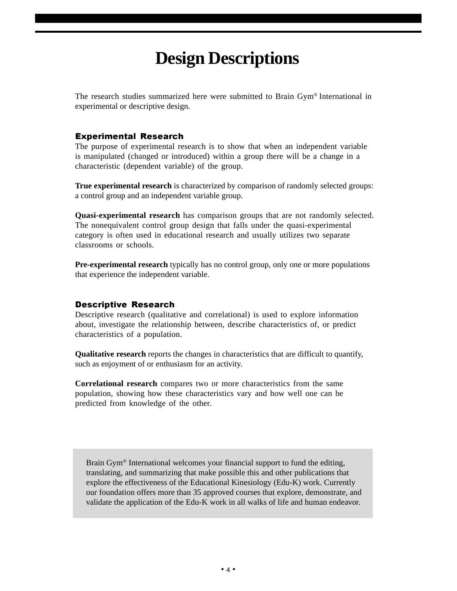## **Design Descriptions**

The research studies summarized here were submitted to Brain Gym® International in experimental or descriptive design.

### Experimental Research

The purpose of experimental research is to show that when an independent variable is manipulated (changed or introduced) within a group there will be a change in a characteristic (dependent variable) of the group.

**True experimental research** is characterized by comparison of randomly selected groups: a control group and an independent variable group.

**Quasi-experimental research** has comparison groups that are not randomly selected. The nonequivalent control group design that falls under the quasi-experimental category is often used in educational research and usually utilizes two separate classrooms or schools.

**Pre-experimental research** typically has no control group, only one or more populations that experience the independent variable.

### Descriptive Research

Descriptive research (qualitative and correlational) is used to explore information about, investigate the relationship between, describe characteristics of, or predict characteristics of a population.

**Qualitative research** reports the changes in characteristics that are difficult to quantify, such as enjoyment of or enthusiasm for an activity.

**Correlational research** compares two or more characteristics from the same population, showing how these characteristics vary and how well one can be predicted from knowledge of the other.

Brain Gym® International welcomes your financial support to fund the editing, translating, and summarizing that make possible this and other publications that explore the effectiveness of the Educational Kinesiology (Edu-K) work. Currently our foundation offers more than 35 approved courses that explore, demonstrate, and validate the application of the Edu-K work in all walks of life and human endeavor.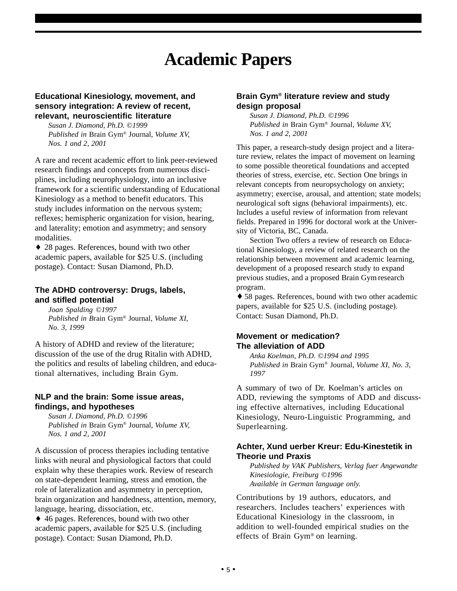## **Academic Papers**

#### **Educational Kinesiology, movement, and sensory integration: A review of recent, relevant, neuroscientific literature**

*Susan J. Diamond, Ph.D. ©1999 Published in* Brain Gym® Journal*, Volume XV, Nos. 1 and 2, 2001*

A rare and recent academic effort to link peer-reviewed research findings and concepts from numerous disciplines, including neurophysiology, into an inclusive framework for a scientific understanding of Educational Kinesiology as a method to benefit educators. This study includes information on the nervous system; reflexes; hemispheric organization for vision, hearing, and laterality; emotion and asymmetry; and sensory modalities.

♦ 28 pages. References, bound with two other academic papers, available for \$25 U.S. (including postage). Contact: Susan Diamond, Ph.D.

#### **The ADHD controversy: Drugs, labels, and stifled potential**

*Joan Spalding ©1997 Published in B*rain Gym® Journal*, Volume XI, No. 3, 1999*

A history of ADHD and review of the literature; discussion of the use of the drug Ritalin with ADHD, the politics and results of labeling children, and educational alternatives, including Brain Gym.

#### **NLP and the brain: Some issue areas, findings, and hypotheses**

*Susan J. Diamond, Ph.D. ©1996 Published in* Brain Gym® Journal*, Volume XV, Nos. 1 and 2, 2001*

A discussion of process therapies including tentative links with neural and physiological factors that could explain why these therapies work. Review of research on state-dependent learning, stress and emotion, the role of lateralization and asymmetry in perception, brain organization and handedness, attention, memory, language, hearing, dissociation, etc.

♦ 46 pages. References, bound with two other academic papers, available for \$25 U.S. (including postage). Contact: Susan Diamond, Ph.D.

#### **Brain Gym® literature review and study design proposal**

*Susan J. Diamond, Ph.D. ©1996 Published in* Brain Gym® Journal*, Volume XV, Nos. 1 and 2, 2001*

This paper, a research-study design project and a literature review, relates the impact of movement on learning to some possible theoretical foundations and accepted theories of stress, exercise, etc. Section One brings in relevant concepts from neuropsychology on anxiety; asymmetry; exercise, arousal, and attention; state models; neurological soft signs (behavioral impairments), etc. Includes a useful review of information from relevant fields. Prepared in 1996 for doctoral work at the University of Victoria, BC, Canada.

Section Two offers a review of research on Educational Kinesiology, a review of related research on the relationship between movement and academic learning, development of a proposed research study to expand previous studies, and a proposed Brain Gymresearch program.

♦ 58 pages. References, bound with two other academic papers, available for \$25 U.S. (including postage). Contact: Susan Diamond, Ph.D.

### **Movement or medication? The alleviation of ADD**

*Anka Koelman, Ph.D. ©1994 and 1995 Published in* Brain Gym® Journal*, Volume XI, No. 3, 1997*

A summary of two of Dr. Koelman's articles on ADD, reviewing the symptoms of ADD and discussing effective alternatives, including Educational Kinesiology, Neuro-Linguistic Programming, and Superlearning.

#### **Achter, Xund uerber Kreur: Edu-Kinestetik in Theorie und Praxis**

*Published by VAK Publishers, Verlag fuer Angewandte Kinesiologie, Freiburg ©1996 Available in German language only.*

Contributions by 19 authors, educators, and researchers. Includes teachers' experiences with Educational Kinesiology in the classroom, in addition to well-founded empirical studies on the effects of Brain Gym® on learning.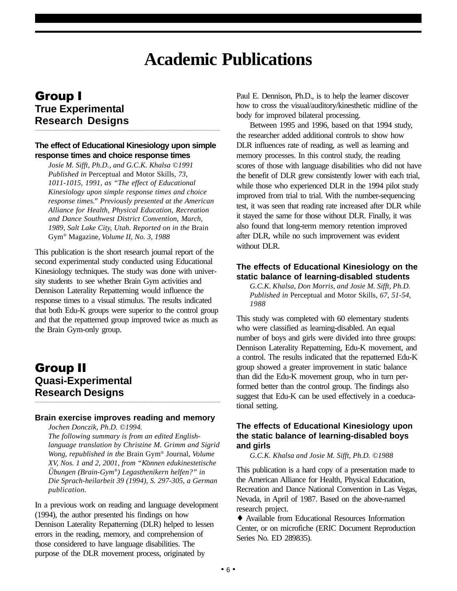## **Academic Publications**

### Group I **True Experimental Research Designs**

### **The effect of Educational Kinesiology upon simple response times and choice response times**

**\_\_\_\_\_\_\_\_\_\_\_\_\_\_\_\_\_\_\_\_\_\_\_\_\_\_\_\_\_\_\_\_\_\_\_\_\_\_\_\_\_\_\_\_\_\_\_\_\_\_\_\_\_\_\_\_\_\_\_\_\_\_\_\_\_\_\_\_\_\_\_\_\_\_\_\_\_\_\_\_\_\_\_\_\_\_\_\_\_\_\_\_\_\_\_\_\_\_\_\_\_\_\_\_\_\_\_\_\_\_\_\_\_\_\_\_**

*Josie M. Sifft, Ph.D., and G.C.K. Khalsa ©1991 Published in* Perceptual and Motor Skills*, 73, 1011-1015, 1991, as "The effect of Educational Kinesiology upon simple response times and choice response times." Previously presented at the American Alliance for Health, Physical Education, Recreation and Dance Southwest District Convention, March, 1989, Salt Lake City, Utah. Reported on in the* Brain Gym® Magazine*, Volume II, No. 3, 1988*

This publication is the short research journal report of the second experimental study conducted using Educational Kinesiology techniques. The study was done with university students to see whether Brain Gym activities and Dennison Laterality Repatterning would influence the response times to a visual stimulus. The results indicated that both Edu-K groups were superior to the control group and that the repatterned group improved twice as much as the Brain Gym-only group.

### Group II **Quasi-Experimental Research Designs**

#### **Brain exercise improves reading and memory**

**\_\_\_\_\_\_\_\_\_\_\_\_\_\_\_\_\_\_\_\_\_\_\_\_\_\_\_\_\_\_\_\_\_\_\_\_\_\_\_\_\_\_\_\_\_\_\_\_\_\_\_\_\_\_\_\_\_\_\_\_\_\_\_\_\_\_\_\_\_\_\_\_\_\_\_\_\_\_\_\_\_\_\_\_\_\_\_\_\_\_\_\_\_\_\_\_\_\_\_\_\_\_\_\_\_\_\_\_\_\_\_\_\_\_\_\_**

*Jochen Donczik, Ph.D. ©1994.*

*The following summary is from an edited Englishlanguage translation by Christine M. Grimm and Sigrid Wong, republished in the* Brain Gym® Journal*, Volume XV, Nos. 1 and 2, 2001, from "Konnen edukinestetische .. ..Ubungen (Brain-Gym®) Legasthenikern helfen?" in Die Sprach-heilarbeit 39 (1994), S. 297-305, a German publication.*

In a previous work on reading and language development (1994), the author presented his findings on how Dennison Laterality Repatterning (DLR) helped to lessen errors in the reading, memory, and comprehension of those considered to have language disabilities. The purpose of the DLR movement process, originated by

Paul E. Dennison, Ph.D., is to help the learner discover how to cross the visual/auditory/kinesthetic midline of the body for improved bilateral processing.

Between 1995 and 1996, based on that 1994 study, the researcher added additional controls to show how DLR influences rate of reading, as well as learning and memory processes. In this control study, the reading scores of those with language disabilities who did not have the benefit of DLR grew consistently lower with each trial, while those who experienced DLR in the 1994 pilot study improved from trial to trial. With the number-sequencing test, it was seen that reading rate increased after DLR while it stayed the same for those without DLR. Finally, it was also found that long-term memory retention improved after DLR, while no such improvement was evident without DLR.

### **The effects of Educational Kinesiology on the static balance of learning-disabled students**

*G.C.K. Khalsa, Don Morris, and Josie M. Sifft, Ph.D. Published in* Perceptual and Motor Skills*, 67, 51-54, 1988*

This study was completed with 60 elementary students who were classified as learning-disabled. An equal number of boys and girls were divided into three groups: Dennison Laterality Repatterning, Edu-K movement, and a control. The results indicated that the repatterned Edu-K group showed a greater improvement in static balance than did the Edu-K movement group, who in turn performed better than the control group. The findings also suggest that Edu-K can be used effectively in a coeducational setting.

### **The effects of Educational Kinesiology upon the static balance of learning-disabled boys and girls**

*G.C.K. Khalsa and Josie M. Sifft, Ph.D. ©1988*

This publication is a hard copy of a presentation made to the American Alliance for Health, Physical Education, Recreation and Dance National Convention in Las Vegas, Nevada, in April of 1987. Based on the above-named research project.

♦ Available from Educational Resources Information Center, or on microfiche (ERIC Document Reproduction Series No. ED 289835).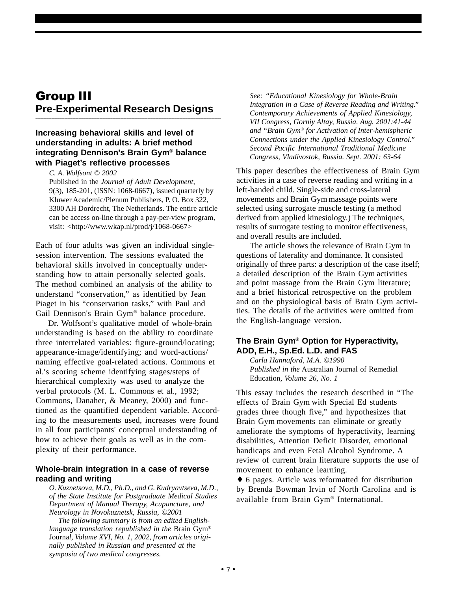### Group III **Pre-Experimental Research Designs**

**\_\_\_\_\_\_\_\_\_\_\_\_\_\_\_\_\_\_\_\_\_\_\_\_\_\_\_\_\_\_\_\_\_\_\_\_\_\_\_\_\_\_\_\_\_\_\_\_\_\_\_\_\_\_\_\_\_\_\_\_\_\_\_\_\_\_\_\_\_\_\_\_\_\_\_\_\_\_\_\_\_\_\_\_\_\_\_\_\_\_\_\_\_\_\_\_\_\_\_\_\_\_\_\_\_\_\_\_\_\_\_\_\_\_\_\_**

### **Increasing behavioral skills and level of understanding in adults: A brief method integrating Dennison's Brain Gym® balance with Piaget's reflective processes**

*C. A. Wolfsont © 2002*

Published in the *Journal of Adult Development*, 9(3), 185-201, (ISSN: 1068-0667), issued quarterly by Kluwer Academic/Plenum Publishers, P. O. Box 322, 3300 AH Dordrecht, The Netherlands. The entire article can be access on-line through a pay-per-view program, visit: <http://www.wkap.nl/prod/j/1068-0667>

Each of four adults was given an individual singlesession intervention. The sessions evaluated the behavioral skills involved in conceptually understanding how to attain personally selected goals. The method combined an analysis of the ability to understand "conservation," as identified by Jean Piaget in his "conservation tasks," with Paul and Gail Dennison's Brain Gym® balance procedure.

 Dr. Wolfsont's qualitative model of whole-brain understanding is based on the ability to coordinate three interrelated variables: figure-ground/locating; appearance-image/identifying; and word-actions/ naming effective goal-related actions. Commons et al.'s scoring scheme identifying stages/steps of hierarchical complexity was used to analyze the verbal protocols (M. L. Commons et al., 1992; Commons, Danaher, & Meaney, 2000) and functioned as the quantified dependent variable. According to the measurements used, increases were found in all four participants' conceptual understanding of how to achieve their goals as well as in the complexity of their performance.

#### **Whole-brain integration in a case of reverse reading and writing**

*O. Kuznetsova, M.D., Ph.D., and G. Kudryavtseva, M.D., of the State Institute for Postgraduate Medical Studies Department of Manual Therapy, Acupuncture, and Neurology in Novokuznetsk, Russia, ©2001*

 *The following summary is from an edited Englishlanguage translation republished in the* Brain Gym® Journa*l, Volume XVI, No. 1, 2002, from articles originally published in Russian and presented at the symposia of two medical congresses.*

*See: "Educational Kinesiology for Whole-Brain Integration in a Case of Reverse Reading and Writing." Contemporary Achievements of Applied Kinesiology, VII Congress, Gorniy Altay, Russia. Aug. 2001:41-44 and "Brain Gym® for Activation of Inter-hemispheric Connections under the Applied Kinesiology Control." Second Pacific International Traditional Medicine Congress, Vladivostok, Russia. Sept. 2001: 63-64*

This paper describes the effectiveness of Brain Gym activities in a case of reverse reading and writing in a left-handed child. Single-side and cross-lateral movements and Brain Gymmassage points were selected using surrogate muscle testing (a method derived from applied kinesiology.) The techniques, results of surrogate testing to monitor effectiveness, and overall results are included.

The article shows the relevance of Brain Gym in questions of laterality and dominance. It consisted originally of three parts: a description of the case itself; a detailed description of the Brain Gym activities and point massage from the Brain Gym literature; and a brief historical retrospective on the problem and on the physiological basis of Brain Gym activities. The details of the activities were omitted from the English-language version.

### **The Brain Gym® Option for Hyperactivity, ADD, E.H., Sp.Ed. L.D. and FAS**

*Carla Hannaford, M.A. ©1990 Published in the* Australian Journal of Remedial Education*, Volume 26, No. 1*

This essay includes the research described in "The effects of Brain Gym with Special Ed students grades three though five," and hypothesizes that Brain Gym movements can eliminate or greatly ameliorate the symptoms of hyperactivity, learning disabilities, Attention Deficit Disorder, emotional handicaps and even Fetal Alcohol Syndrome. A review of current brain literature supports the use of movement to enhance learning.

♦ 6 pages. Article was reformatted for distribution by Brenda Bowman Irvin of North Carolina and is available from Brain Gym® International.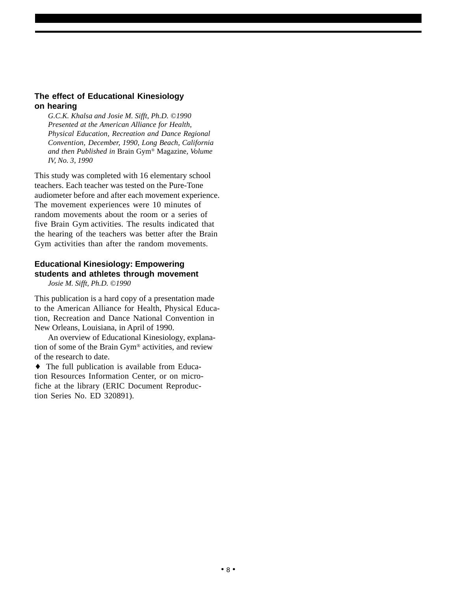### **The effect of Educational Kinesiology on hearing**

*G.C.K. Khalsa and Josie M. Sifft, Ph.D. ©1990 Presented at the American Alliance for Health, Physical Education, Recreation and Dance Regional Convention, December, 1990, Long Beach, California and then Published in* Brain Gym® Magazine*, Volume IV, No. 3, 1990*

This study was completed with 16 elementary school teachers. Each teacher was tested on the Pure-Tone audiometer before and after each movement experience. The movement experiences were 10 minutes of random movements about the room or a series of five Brain Gym activities. The results indicated that the hearing of the teachers was better after the Brain Gym activities than after the random movements.

### **Educational Kinesiology: Empowering students and athletes through movement**

*Josie M. Sifft, Ph.D. ©1990*

This publication is a hard copy of a presentation made to the American Alliance for Health, Physical Education, Recreation and Dance National Convention in New Orleans, Louisiana, in April of 1990.

An overview of Educational Kinesiology, explanation of some of the Brain Gym® activities, and review of the research to date.

♦ The full publication is available from Education Resources Information Center, or on microfiche at the library (ERIC Document Reproduction Series No. ED 320891).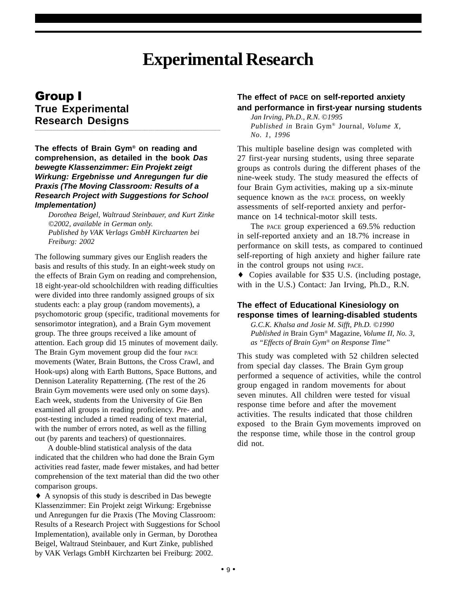## **Experimental Research**

### Group I **True Experimental Research Designs**

**The effects of Brain Gym® on reading and comprehension, as detailed in the book Das bewegte Klassenzimmer: Ein Projekt zeigt Wirkung: Ergebnisse und Anregungen fur die Praxis (The Moving Classroom: Results of a Research Project with Suggestions for School Implementation)**

**\_\_\_\_\_\_\_\_\_\_\_\_\_\_\_\_\_\_\_\_\_\_\_\_\_\_\_\_\_\_\_\_\_\_\_\_\_\_\_\_\_\_\_\_\_\_\_\_\_\_\_\_\_\_\_\_\_\_\_\_\_\_\_\_\_\_\_\_\_\_\_\_\_\_\_\_\_\_\_\_\_\_\_\_\_\_\_\_\_\_\_\_\_\_\_\_\_\_\_\_\_\_\_\_\_\_\_\_\_\_\_\_\_\_\_\_**

*Dorothea Beigel, Waltraud Steinbauer, and Kurt Zinke ©2002, available in German only. Published by VAK Verlags GmbH Kirchzarten bei Freiburg: 2002* 

The following summary gives our English readers the basis and results of this study. In an eight-week study on the effects of Brain Gym on reading and comprehension, 18 eight-year-old schoolchildren with reading difficulties were divided into three randomly assigned groups of six students each: a play group (random movements), a psychomotoric group (specific, traditional movements for sensorimotor integration), and a Brain Gym movement group. The three groups received a like amount of attention. Each group did 15 minutes of movement daily. The Brain Gym movement group did the four PACE movements (Water, Brain Buttons, the Cross Crawl, and Hook-ups) along with Earth Buttons, Space Buttons, and Dennison Laterality Repatterning. (The rest of the 26 Brain Gym movements were used only on some days). Each week, students from the University of Gie Ben examined all groups in reading proficiency. Pre- and post-testing included a timed reading of text material, with the number of errors noted, as well as the filling out (by parents and teachers) of questionnaires.

A double-blind statistical analysis of the data indicated that the children who had done the Brain Gym activities read faster, made fewer mistakes, and had better comprehension of the text material than did the two other comparison groups.

♦ A synopsis of this study is described in Das bewegte Klassenzimmer: Ein Projekt zeigt Wirkung: Ergebnisse und Anregungen fur die Praxis (The Moving Classroom: Results of a Research Project with Suggestions for School Implementation), available only in German, by Dorothea Beigel, Waltraud Steinbauer, and Kurt Zinke, published by VAK Verlags GmbH Kirchzarten bei Freiburg: 2002.

### **The effect of PACE on self-reported anxiety and performance in first-year nursing students**

*Jan Irving, Ph.D., R.N.* ©*1995 Published in* Brain Gym® Journal*, Volume X, No. 1, 1996*

This multiple baseline design was completed with 27 first-year nursing students, using three separate groups as controls during the different phases of the nine-week study. The study measured the effects of four Brain Gym activities, making up a six-minute sequence known as the PACE process, on weekly assessments of self-reported anxiety and performance on 14 technical-motor skill tests.

The PACE group experienced a 69.5% reduction in self-reported anxiety and an 18.7% increase in performance on skill tests, as compared to continued self-reporting of high anxiety and higher failure rate in the control groups not using PACE.

♦ Copies available for \$35 U.S. (including postage, with in the U.S.) Contact: Jan Irving, Ph.D., R.N.

### **The effect of Educational Kinesiology on response times of learning-disabled students**

*G.C.K. Khalsa and Josie M. Sifft, Ph.D. ©1990 Published in* Brain Gym® Magazine*, Volume II, No. 3, as "Effects of Brain Gym® on Response Time"*

This study was completed with 52 children selected from special day classes. The Brain Gym group performed a sequence of activities, while the control group engaged in random movements for about seven minutes. All children were tested for visual response time before and after the movement activities. The results indicated that those children exposed to the Brain Gym movements improved on the response time, while those in the control group did not.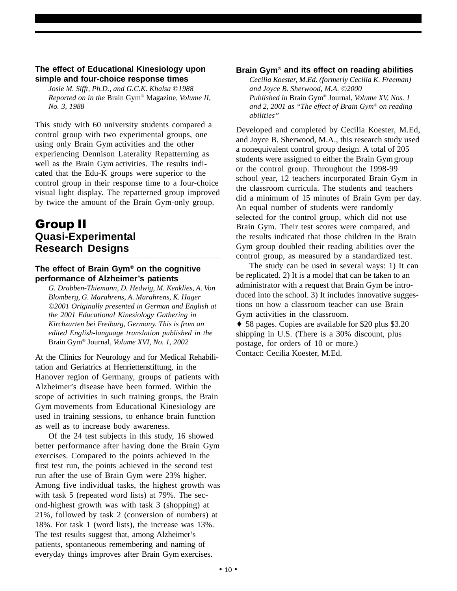#### **The effect of Educational Kinesiology upon simple and four-choice response times**

*Josie M. Sifft, Ph.D., and G.C.K. Khalsa ©1988 Reported on in the* Brain Gym® Magazine*, Volume II, No. 3, 1988*

This study with 60 university students compared a control group with two experimental groups, one using only Brain Gym activities and the other experiencing Dennison Laterality Repatterning as well as the Brain Gym activities. The results indicated that the Edu-K groups were superior to the control group in their response time to a four-choice visual light display. The repatterned group improved by twice the amount of the Brain Gym-only group.

### Group II **Quasi-Experimental Research Designs**

### **The effect of Brain Gym® on the cognitive performance of Alzheimer's patients**

**\_\_\_\_\_\_\_\_\_\_\_\_\_\_\_\_\_\_\_\_\_\_\_\_\_\_\_\_\_\_\_\_\_\_\_\_\_\_\_\_\_\_\_\_\_\_\_\_\_\_\_\_\_\_\_\_\_\_\_\_\_\_\_\_\_\_\_\_\_\_\_\_\_\_\_\_\_\_\_\_\_\_\_\_\_\_\_\_\_\_\_\_\_\_\_\_\_\_\_\_\_\_\_\_\_\_\_\_\_\_\_\_\_\_\_\_**

*G. Drabben-Thiemann, D. Hedwig, M. Kenklies, A. Von Blomberg, G. Marahrens, A. Marahrens, K. Hager ©2001 Originally presented in German and English at the 2001 Educational Kinesiology Gathering in Kirchzarten bei Freiburg, Germany. This is from an edited English-language translation published in the* Brain Gym® Journal*, Volume XVI, No. 1, 2002*

At the Clinics for Neurology and for Medical Rehabilitation and Geriatrics at Henriettenstiftung, in the Hanover region of Germany, groups of patients with Alzheimer's disease have been formed. Within the scope of activities in such training groups, the Brain Gym movements from Educational Kinesiology are used in training sessions, to enhance brain function as well as to increase body awareness.

Of the 24 test subjects in this study, 16 showed better performance after having done the Brain Gym exercises. Compared to the points achieved in the first test run, the points achieved in the second test run after the use of Brain Gym were 23% higher. Among five individual tasks, the highest growth was with task 5 (repeated word lists) at 79%. The second-highest growth was with task 3 (shopping) at 21%, followed by task 2 (conversion of numbers) at 18%. For task 1 (word lists), the increase was 13%. The test results suggest that, among Alzheimer's patients, spontaneous remembering and naming of everyday things improves after Brain Gym exercises.

### **Brain Gym® and its effect on reading abilities**

*Cecilia Koester, M.Ed. (formerly Cecilia K. Freeman) and Joyce B. Sherwood, M.A. ©2000 Published in* Brain Gym® Journal*, Volume XV, Nos. 1 and 2, 2001 as "The effect of Brain Gym® on reading abilities"*

Developed and completed by Cecilia Koester, M.Ed, and Joyce B. Sherwood, M.A., this research study used a nonequivalent control group design. A total of 205 students were assigned to either the Brain Gym group or the control group. Throughout the 1998-99 school year, 12 teachers incorporated Brain Gym in the classroom curricula. The students and teachers did a minimum of 15 minutes of Brain Gym per day. An equal number of students were randomly selected for the control group, which did not use Brain Gym. Their test scores were compared, and the results indicated that those children in the Brain Gym group doubled their reading abilities over the control group, as measured by a standardized test.

The study can be used in several ways: 1) It can be replicated. 2) It is a model that can be taken to an administrator with a request that Brain Gym be introduced into the school. 3) It includes innovative suggestions on how a classroom teacher can use Brain Gym activities in the classroom.

♦ 58 pages. Copies are available for \$20 plus \$3.20 shipping in U.S. (There is a 30% discount, plus postage, for orders of 10 or more.) Contact: Cecilia Koester, M.Ed.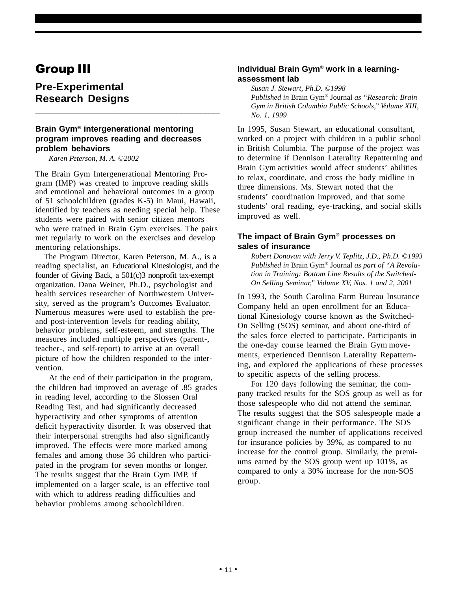### Group III

### **Pre-Experimental Research Designs**

### **Brain Gym® intergenerational mentoring program improves reading and decreases problem behaviors**

**\_\_\_\_\_\_\_\_\_\_\_\_\_\_\_\_\_\_\_\_\_\_\_\_\_\_\_\_\_\_\_\_\_\_\_\_\_\_\_\_\_\_\_\_\_\_\_\_\_\_\_\_\_\_\_\_\_\_\_\_\_\_\_\_\_\_\_\_\_\_\_\_\_\_\_\_\_\_\_\_\_\_\_\_\_\_\_\_\_\_\_\_\_\_\_\_\_\_\_\_\_\_\_\_\_\_\_\_\_\_\_\_\_\_\_\_**

*Karen Peterson, M. A. ©2002*

The Brain Gym Intergenerational Mentoring Program (IMP) was created to improve reading skills and emotional and behavioral outcomes in a group of 51 schoolchildren (grades K-5) in Maui, Hawaii, identified by teachers as needing special help. These students were paired with senior citizen mentors who were trained in Brain Gym exercises. The pairs met regularly to work on the exercises and develop mentoring relationships.

 The Program Director, Karen Peterson, M. A., is a reading specialist, an Educational Kinesiologist, and the founder of Giving Back, a 501(c)3 nonprofit tax-exempt organization. Dana Weiner, Ph.D., psychologist and health services researcher of Northwestern University, served as the program's Outcomes Evaluator. Numerous measures were used to establish the preand post-intervention levels for reading ability, behavior problems, self-esteem, and strengths. The measures included multiple perspectives (parent-, teacher-, and self-report) to arrive at an overall picture of how the children responded to the intervention.

 At the end of their participation in the program, the children had improved an average of .85 grades in reading level, according to the Slossen Oral Reading Test, and had significantly decreased hyperactivity and other symptoms of attention deficit hyperactivity disorder. It was observed that their interpersonal strengths had also significantly improved. The effects were more marked among females and among those 36 children who participated in the program for seven months or longer. The results suggest that the Brain Gym IMP, if implemented on a larger scale, is an effective tool with which to address reading difficulties and behavior problems among schoolchildren.

#### **Individual Brain Gym® work in a learningassessment lab**

*Susan J. Stewart, Ph.D. ©1998 Published in* Brain Gym® Journal *as "Research: Brain Gym in British Columbia Public Schools," Volume XIII, No. 1, 1999*

In 1995, Susan Stewart, an educational consultant, worked on a project with children in a public school in British Columbia. The purpose of the project was to determine if Dennison Laterality Repatterning and Brain Gym activities would affect students' abilities to relax, coordinate, and cross the body midline in three dimensions. Ms. Stewart noted that the students' coordination improved, and that some students' oral reading, eye-tracking, and social skills improved as well.

#### **The impact of Brain Gym® processes on sales of insurance**

*Robert Donovan with Jerry V. Teplitz, J.D., Ph.D. ©1993 Published in* Brain Gym® Journal *as part of "A Revolution in Training: Bottom Line Results of the Switched-On Selling Seminar," Volume XV, Nos. 1 and 2, 2001*

In 1993, the South Carolina Farm Bureau Insurance Company held an open enrollment for an Educational Kinesiology course known as the Switched-On Selling (SOS) seminar, and about one-third of the sales force elected to participate. Participants in the one-day course learned the Brain Gym movements, experienced Dennison Laterality Repatterning, and explored the applications of these processes to specific aspects of the selling process.

For 120 days following the seminar, the company tracked results for the SOS group as well as for those salespeople who did not attend the seminar. The results suggest that the SOS salespeople made a significant change in their performance. The SOS group increased the number of applications received for insurance policies by 39%, as compared to no increase for the control group. Similarly, the premiums earned by the SOS group went up 101%, as compared to only a 30% increase for the non-SOS group.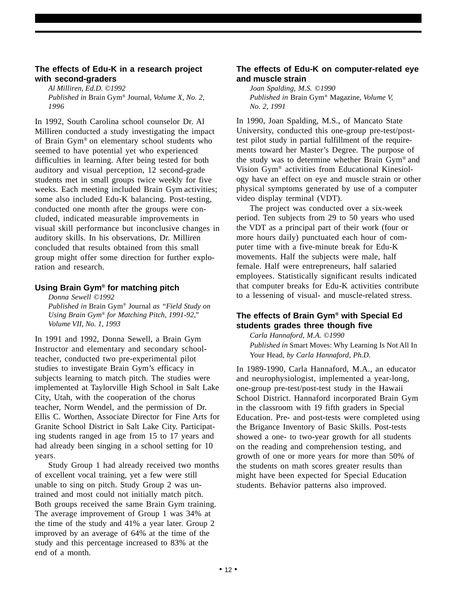### **The effects of Edu-K in a research project with second-graders**

*Al Milliren, Ed.D. ©1992 Published in* Brain Gym® Journal*, Volume X, No. 2, 1996*

In 1992, South Carolina school counselor Dr. Al Milliren conducted a study investigating the impact of Brain Gym® on elementary school students who seemed to have potential yet who experienced difficulties in learning. After being tested for both auditory and visual perception, 12 second-grade students met in small groups twice weekly for five weeks. Each meeting included Brain Gym activities; some also included Edu-K balancing. Post-testing, conducted one month after the groups were concluded, indicated measurable improvements in visual skill performance but inconclusive changes in auditory skills. In his observations, Dr. Milliren concluded that results obtained from this small group might offer some direction for further exploration and research.

#### **Using Brain Gym® for matching pitch**

*Donna Sewell ©1992 Published in* Brain Gym® Journal *as "Field Study on Using Brain Gym® for Matching Pitch, 1991-92," Volume VII, No. 1, 1993*

In 1991 and 1992, Donna Sewell, a Brain Gym Instructor and elementary and secondary schoolteacher, conducted two pre-experimental pilot studies to investigate Brain Gym's efficacy in subjects learning to match pitch. The studies were implemented at Taylorville High School in Salt Lake City, Utah, with the cooperation of the chorus teacher, Norm Wendel, and the permission of Dr. Ellis C. Worthen, Associate Director for Fine Arts for Granite School District in Salt Lake City. Participating students ranged in age from 15 to 17 years and had already been singing in a school setting for 10 years.

Study Group 1 had already received two months of excellent vocal training, yet a few were still unable to sing on pitch. Study Group 2 was untrained and most could not initially match pitch. Both groups received the same Brain Gym training. The average improvement of Group 1 was 34% at the time of the study and 41% a year later. Group 2 improved by an average of 64% at the time of the study and this percentage increased to 83% at the end of a month.

### **The effects of Edu-K on computer-related eye and muscle strain**

*Joan Spalding, M.S. ©1990 Published in* Brain Gym® Magazine*, Volume V, No. 2, 1991*

In 1990, Joan Spalding, M.S., of Mancato State University, conducted this one-group pre-test/posttest pilot study in partial fulfillment of the requirements toward her Master's Degree. The purpose of the study was to determine whether Brain Gym® and Vision Gym® activities from Educational Kinesiology have an effect on eye and muscle strain or other physical symptoms generated by use of a computer video display terminal (VDT).

The project was conducted over a six-week period. Ten subjects from 29 to 50 years who used the VDT as a principal part of their work (four or more hours daily) punctuated each hour of computer time with a five-minute break for Edu-K movements. Half the subjects were male, half female. Half were entrepreneurs, half salaried employees. Statistically significant results indicated that computer breaks for Edu-K activities contribute to a lessening of visual- and muscle-related stress.

### **The effects of Brain Gym® with Special Ed students grades three though five**

*Carla Hannaford, M.A. ©1990 Published in* Smart Moves: Why Learning Is Not All In Your Head*, by Carla Hannaford, Ph.D.*

In 1989-1990, Carla Hannaford, M.A., an educator and neurophysiologist, implemented a year-long, one-group pre-test/post-test study in the Hawaii School District. Hannaford incorporated Brain Gym in the classroom with 19 fifth graders in Special Education. Pre- and post-tests were completed using the Brigance Inventory of Basic Skills. Post-tests showed a one- to two-year growth for all students on the reading and comprehension testing, and growth of one or more years for more than 50% of the students on math scores greater results than might have been expected for Special Education students. Behavior patterns also improved.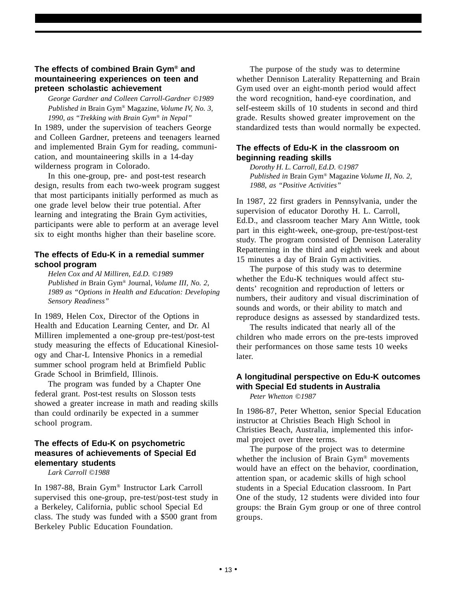### **The effects of combined Brain Gym® and mountaineering experiences on teen and preteen scholastic achievement**

*George Gardner and Colleen Carroll-Gardner ©1989 Published in* Brain Gym® Magazine*, Volume IV, No. 3, 1990, as "Trekking with Brain Gym® in Nepal"*

In 1989, under the supervision of teachers George and Colleen Gardner, preteens and teenagers learned and implemented Brain Gym for reading, communication, and mountaineering skills in a 14-day wilderness program in Colorado.

In this one-group, pre- and post-test research design, results from each two-week program suggest that most participants initially performed as much as one grade level below their true potential. After learning and integrating the Brain Gym activities, participants were able to perform at an average level six to eight months higher than their baseline score.

### **The effects of Edu-K in a remedial summer school program**

*Helen Cox and Al Milliren, Ed.D. ©1989 Published in* Brain Gym® Journal*, Volume III, No. 2, 1989 as "Options in Health and Education: Developing Sensory Readiness"*

In 1989, Helen Cox, Director of the Options in Health and Education Learning Center, and Dr. Al Milliren implemented a one-group pre-test/post-test study measuring the effects of Educational Kinesiology and Char-L Intensive Phonics in a remedial summer school program held at Brimfield Public Grade School in Brimfield, Illinois.

The program was funded by a Chapter One federal grant. Post-test results on Slosson tests showed a greater increase in math and reading skills than could ordinarily be expected in a summer school program.

### **The effects of Edu-K on psychometric measures of achievements of Special Ed elementary students**

*Lark Carroll ©1988*

In 1987-88, Brain Gym® Instructor Lark Carroll supervised this one-group, pre-test/post-test study in a Berkeley, California, public school Special Ed class. The study was funded with a \$500 grant from Berkeley Public Education Foundation.

The purpose of the study was to determine whether Dennison Laterality Repatterning and Brain Gym used over an eight-month period would affect the word recognition, hand-eye coordination, and self-esteem skills of 10 students in second and third grade. Results showed greater improvement on the standardized tests than would normally be expected.

### **The effects of Edu-K in the classroom on beginning reading skills**

*Dorothy H. L. Carroll, Ed.D. ©1987 Published in* Brain Gym® Magazine *Volume II, No. 2, 1988, as "Positive Activities"*

In 1987, 22 first graders in Pennsylvania, under the supervision of educator Dorothy H. L. Carroll, Ed.D., and classroom teacher Mary Ann Wittle, took part in this eight-week, one-group, pre-test/post-test study. The program consisted of Dennison Laterality Repatterning in the third and eighth week and about 15 minutes a day of Brain Gym activities.

The purpose of this study was to determine whether the Edu-K techniques would affect students' recognition and reproduction of letters or numbers, their auditory and visual discrimination of sounds and words, or their ability to match and reproduce designs as assessed by standardized tests.

The results indicated that nearly all of the children who made errors on the pre-tests improved their performances on those same tests 10 weeks later.

### **A longitudinal perspective on Edu-K outcomes with Special Ed students in Australia**

*Peter Whetton ©1987*

In 1986-87, Peter Whetton, senior Special Education instructor at Christies Beach High School in Christies Beach, Australia, implemented this informal project over three terms.

The purpose of the project was to determine whether the inclusion of Brain Gym® movements would have an effect on the behavior, coordination, attention span, or academic skills of high school students in a Special Education classroom. In Part One of the study, 12 students were divided into four groups: the Brain Gym group or one of three control groups.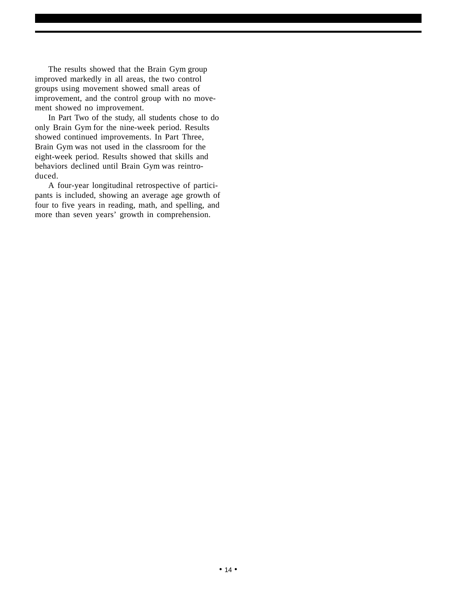The results showed that the Brain Gym group improved markedly in all areas, the two control groups using movement showed small areas of improvement, and the control group with no movement showed no improvement.

In Part Two of the study, all students chose to do only Brain Gym for the nine-week period. Results showed continued improvements. In Part Three, Brain Gym was not used in the classroom for the eight-week period. Results showed that skills and behaviors declined until Brain Gym was reintroduced.

A four-year longitudinal retrospective of participants is included, showing an average age growth of four to five years in reading, math, and spelling, and more than seven years' growth in comprehension.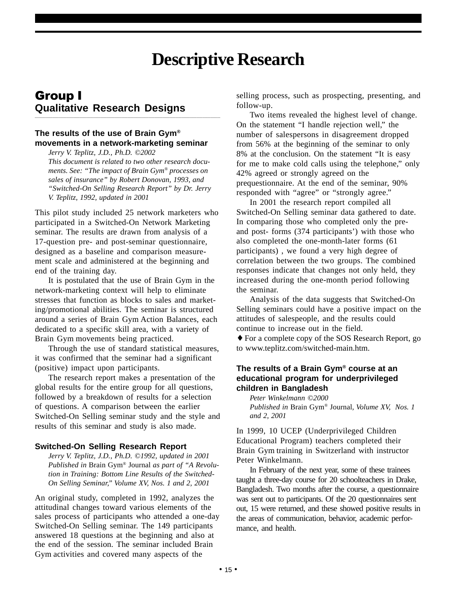## **Descriptive Research**

### Group I **Qualitative Research Designs**

### **The results of the use of Brain Gym® movements in a network-marketing seminar**

**\_\_\_\_\_\_\_\_\_\_\_\_\_\_\_\_\_\_\_\_\_\_\_\_\_\_\_\_\_\_\_\_\_\_\_\_\_\_\_\_\_\_\_\_\_\_\_\_\_\_\_\_\_\_\_\_\_\_\_\_\_\_\_\_\_\_\_\_\_\_\_\_\_\_\_\_\_\_\_\_\_\_\_\_\_\_\_\_\_\_\_\_\_\_\_\_\_\_\_\_\_\_\_\_\_\_\_\_\_\_\_\_\_\_\_\_**

*Jerry V. Teplitz, J.D., Ph.D. ©2002 This document is related to two other research documents. See: "The impact of Brain Gym® processes on sales of insurance" by Robert Donovan, 1993, and "Switched-On Selling Research Report" by Dr. Jerry V. Teplitz, 1992, updated in 2001*

This pilot study included 25 network marketers who participated in a Switched-On Network Marketing seminar. The results are drawn from analysis of a 17-question pre- and post-seminar questionnaire, designed as a baseline and comparison measurement scale and administered at the beginning and end of the training day.

It is postulated that the use of Brain Gym in the network-marketing context will help to eliminate stresses that function as blocks to sales and marketing/promotional abilities. The seminar is structured around a series of Brain Gym Action Balances, each dedicated to a specific skill area, with a variety of Brain Gym movements being practiced.

Through the use of standard statistical measures, it was confirmed that the seminar had a significant (positive) impact upon participants.

The research report makes a presentation of the global results for the entire group for all questions, followed by a breakdown of results for a selection of questions. A comparison between the earlier Switched-On Selling seminar study and the style and results of this seminar and study is also made.

#### **Switched-On Selling Research Report**

*Jerry V. Teplitz, J.D., Ph.D. ©1992, updated in 2001 Published in* Brain Gym® Journal *as part of "A Revolution in Training: Bottom Line Results of the Switched-On Selling Seminar," Volume XV, Nos. 1 and 2, 2001*

An original study, completed in 1992, analyzes the attitudinal changes toward various elements of the sales process of participants who attended a one-day Switched-On Selling seminar. The 149 participants answered 18 questions at the beginning and also at the end of the session. The seminar included Brain Gym activities and covered many aspects of the

selling process, such as prospecting, presenting, and follow-up.

Two items revealed the highest level of change. On the statement "I handle rejection well," the number of salespersons in disagreement dropped from 56% at the beginning of the seminar to only 8% at the conclusion. On the statement "It is easy for me to make cold calls using the telephone," only 42% agreed or strongly agreed on the prequestionnaire. At the end of the seminar, 90% responded with "agree" or "strongly agree."

In 2001 the research report compiled all Switched-On Selling seminar data gathered to date. In comparing those who completed only the preand post- forms (374 participants') with those who also completed the one-month-later forms (61 participants) , we found a very high degree of correlation between the two groups. The combined responses indicate that changes not only held, they increased during the one-month period following the seminar.

Analysis of the data suggests that Switched-On Selling seminars could have a positive impact on the attitudes of salespeople, and the results could continue to increase out in the field.

♦ For a complete copy of the SOS Research Report, go to www.teplitz.com/switched-main.htm.

### **The results of a Brain Gym® course at an educational program for underprivileged children in Bangladesh**

*Peter Winkelmann ©2000 Published in* Brain Gym® Journal*, Volume XV, Nos. 1 and 2, 2001*

In 1999, 10 UCEP (Underprivileged Children Educational Program) teachers completed their Brain Gym training in Switzerland with instructor Peter Winkelmann.

In February of the next year, some of these trainees taught a three-day course for 20 schoolteachers in Drake, Bangladesh. Two months after the course, a questionnaire was sent out to participants. Of the 20 questionnaires sent out, 15 were returned, and these showed positive results in the areas of communication, behavior, academic performance, and health.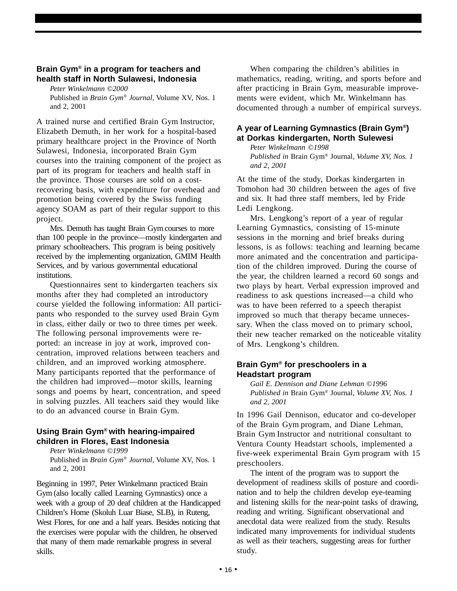### **Brain Gym® in a program for teachers and health staff in North Sulawesi, Indonesia**

*Peter Winkelmann ©2000* Published in *Brain Gym® Journal*, Volume XV, Nos. 1 and 2, 2001

A trained nurse and certified Brain Gym Instructor, Elizabeth Demuth, in her work for a hospital-based primary healthcare project in the Province of North Sulawesi, Indonesia, incorporated Brain Gym courses into the training component of the project as part of its program for teachers and health staff in the province. Those courses are sold on a costrecovering basis, with expenditure for overhead and promotion being covered by the Swiss funding agency SOAM as part of their regular support to this project.

Mrs. Demuth has taught Brain Gym courses to more than 100 people in the province—mostly kindergarten and primary schoolteachers. This program is being positively received by the implementing organization, GMIM Health Services, and by various governmental educational institutions.

Questionnaires sent to kindergarten teachers six months after they had completed an introductory course yielded the following information: All participants who responded to the survey used Brain Gym in class, either daily or two to three times per week. The following personal improvements were reported: an increase in joy at work, improved concentration, improved relations between teachers and children, and an improved working atmosphere. Many participants reported that the performance of the children had improved—motor skills, learning songs and poems by heart, concentration, and speed in solving puzzles. All teachers said they would like to do an advanced course in Brain Gym.

### **Using Brain Gym® with hearing-impaired children in Flores, East Indonesia**

*Peter Winkelmann ©1999* Published in *Brain Gym® Journal*, Volume XV, Nos. 1 and 2, 2001

Beginning in 1997, Peter Winkelmann practiced Brain Gym (also locally called Learning Gymnastics) once a week with a group of 20 deaf children at the Handicapped Children's Home (Skoluh Luar Biase, SLB), in Ruteng, West Flores, for one and a half years. Besides noticing that the exercises were popular with the children, he observed that many of them made remarkable progress in several skills.

When comparing the children's abilities in mathematics, reading, writing, and sports before and after practicing in Brain Gym, measurable improvements were evident, which Mr. Winkelmann has documented through a number of empirical surveys.

### **A year of Learning Gymnastics (Brain Gym®) at Dorkas kindergarten, North Sulewesi**

*Peter Winkelmann ©1998 Published in* Brain Gym® Journal*, Volume XV, Nos. 1 and 2, 2001*

At the time of the study, Dorkas kindergarten in Tomohon had 30 children between the ages of five and six. It had three staff members, led by Fride Ledi Lengkong.

Mrs. Lengkong's report of a year of regular Learning Gymnastics, consisting of 15-minute sessions in the morning and brief breaks during lessons, is as follows: teaching and learning became more animated and the concentration and participation of the children improved. During the course of the year, the children learned a record 60 songs and two plays by heart. Verbal expression improved and readiness to ask questions increased—a child who was to have been referred to a speech therapist improved so much that therapy became unnecessary. When the class moved on to primary school, their new teacher remarked on the noticeable vitality of Mrs. Lengkong's children.

### **Brain Gym® for preschoolers in a Headstart program**

*Gail E. Dennison and Diane Lehman ©1996 Published in* Brain Gym® Journal*, Volume XV, Nos. 1 and 2, 2001*

In 1996 Gail Dennison, educator and co-developer of the Brain Gym program, and Diane Lehman, Brain Gym Instructor and nutritional consultant to Ventura County Headstart schools, implemented a five-week experimental Brain Gym program with 15 preschoolers.

The intent of the program was to support the development of readiness skills of posture and coordination and to help the children develop eye-teaming and listening skills for the near-point tasks of drawing, reading and writing. Significant observational and anecdotal data were realized from the study. Results indicated many improvements for individual students as well as their teachers, suggesting areas for further study.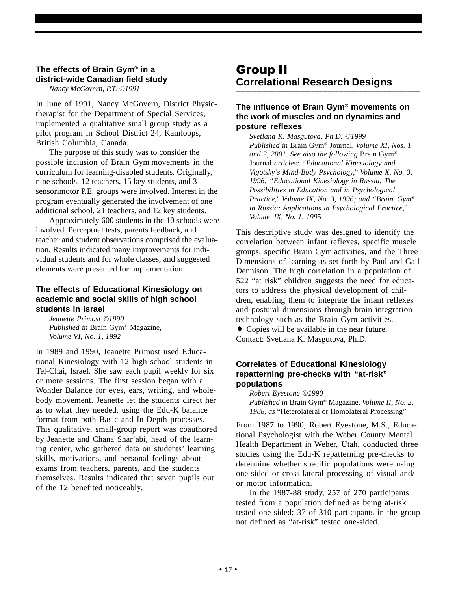### **The effects of Brain Gym® in a district-wide Canadian field study**

*Nancy McGovern, P.T. ©1991*

In June of 1991, Nancy McGovern, District Physiotherapist for the Department of Special Services, implemented a qualitative small group study as a pilot program in School District 24, Kamloops, British Columbia, Canada.

The purpose of this study was to consider the possible inclusion of Brain Gym movements in the curriculum for learning-disabled students. Originally, nine schools, 12 teachers, 15 key students, and 3 sensorimotor P.E. groups were involved. Interest in the program eventually generated the involvement of one additional school, 21 teachers, and 12 key students.

Approximately 600 students in the 10 schools were involved. Perceptual tests, parents feedback, and teacher and student observations comprised the evaluation. Results indicated many improvements for individual students and for whole classes, and suggested elements were presented for implementation.

### **The effects of Educational Kinesiology on academic and social skills of high school students in Israel**

*Jeanette Primost ©1990 Published in* Brain Gym® Magazine*, Volume VI, No. 1, 1992*

In 1989 and 1990, Jeanette Primost used Educational Kinesiology with 12 high school students in Tel-Chai, Israel. She saw each pupil weekly for six or more sessions. The first session began with a Wonder Balance for eyes, ears, writing, and wholebody movement. Jeanette let the students direct her as to what they needed, using the Edu-K balance format from both Basic and In-Depth processes. This qualitative, small-group report was coauthored by Jeanette and Chana Shar'abi, head of the learning center, who gathered data on students' learning skills, motivations, and personal feelings about exams from teachers, parents, and the students themselves. Results indicated that seven pupils out of the 12 benefited noticeably.

### Group II **Correlational Research Designs**

### **The influence of Brain Gym® movements on the work of muscles and on dynamics and posture reflexes**

**\_\_\_\_\_\_\_\_\_\_\_\_\_\_\_\_\_\_\_\_\_\_\_\_\_\_\_\_\_\_\_\_\_\_\_\_\_\_\_\_\_\_\_\_\_\_\_\_\_\_\_\_\_\_\_\_\_\_\_\_\_\_\_\_\_\_\_\_\_\_\_\_\_\_\_\_\_\_\_\_\_\_\_\_\_\_\_\_\_\_\_\_\_\_\_\_\_\_\_\_\_\_\_\_\_\_\_\_\_\_\_\_\_\_\_**

*Svetlana K. Masgutova, Ph.D. ©1999 Published in* Brain Gym® Journal*, Volume XI, Nos. 1 and 2, 2001. See also the following* Brain Gym® Journal *articles: "Educational Kinesiology and Vigotsky's Mind-Body Psychology," Volume X, No. 3, 1996; "Educational Kinesiology in Russia: The Possibilities in Education and in Psychological Practice," Volume IX, No. 3, 1996; and "Brain Gym® in Russia: Applications in Psychological Practice," Volume IX, No. 1, 199*5

This descriptive study was designed to identify the correlation between infant reflexes, specific muscle groups, specific Brain Gym activities, and the Three Dimensions of learning as set forth by Paul and Gail Dennison. The high correlation in a population of 522 "at risk" children suggests the need for educators to address the physical development of children, enabling them to integrate the infant reflexes and postural dimensions through brain-integration technology such as the Brain Gym activities. ♦ Copies will be available in the near future.

Contact: Svetlana K. Masgutova, Ph.D.

### **Correlates of Educational Kinesiology repatterning pre-checks with "at-risk" populations**

*Robert Eyestone ©1990 Published in* Brain Gym® Magazine*, Volume II, No. 2, 1988, as* "Heterolateral or Homolateral Processing"

From 1987 to 1990, Robert Eyestone, M.S., Educational Psychologist with the Weber County Mental Health Department in Weber, Utah, conducted three studies using the Edu-K repatterning pre-checks to determine whether specific populations were using one-sided or cross-lateral processing of visual and/ or motor information.

In the 1987-88 study, 257 of 270 participants tested from a population defined as being at-risk tested one-sided; 37 of 310 participants in the group not defined as "at-risk" tested one-sided.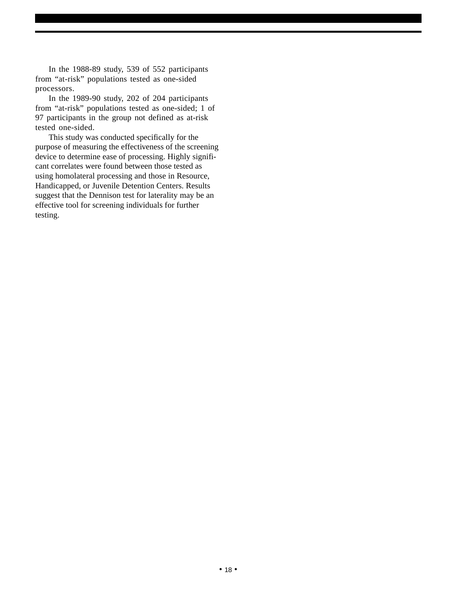In the 1988-89 study, 539 of 552 participants from "at-risk" populations tested as one-sided processors.

In the 1989-90 study, 202 of 204 participants from "at-risk" populations tested as one-sided; 1 of 97 participants in the group not defined as at-risk tested one-sided.

This study was conducted specifically for the purpose of measuring the effectiveness of the screening device to determine ease of processing. Highly significant correlates were found between those tested as using homolateral processing and those in Resource, Handicapped, or Juvenile Detention Centers. Results suggest that the Dennison test for laterality may be an effective tool for screening individuals for further testing.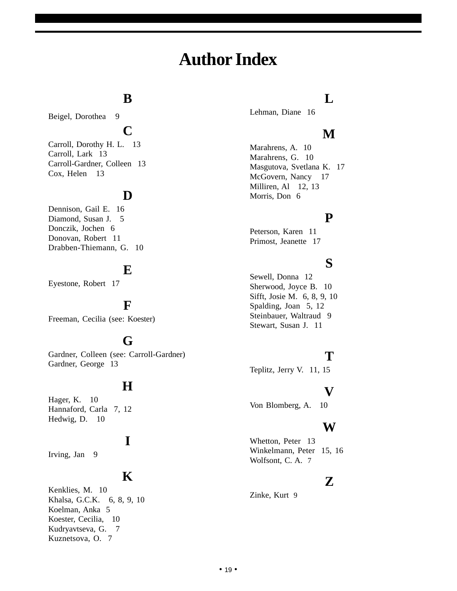## **Author Index**

### **B**

Beigel, Dorothea 9

### **C**

Carroll, Dorothy H. L. 13 Carroll, Lark 13 Carroll-Gardner, Colleen 13 Cox, Helen 13

### **D**

Dennison, Gail E. 16 Diamond, Susan J. 5 Donczik, Jochen 6 Donovan, Robert 11 Drabben-Thiemann, G. 10

### **E**

Eyestone, Robert 17

### **F**

Freeman, Cecilia (see: Koester)

### **G**

Gardner, Colleen (see: Carroll-Gardner) Gardner, George 13

### **H**

Hager, K. 10 Hannaford, Carla 7, 12 Hedwig, D. 10

### **I**

Irving, Jan 9

### **K**

Kenklies, M. 10 Khalsa, G.C.K. 6, 8, 9, 10 Koelman, Anka 5 Koester, Cecilia, 10 Kudryavtseva, G. 7 Kuznetsova, O. 7

### **L**

Lehman, Diane 16

### **M**

Marahrens, A. 10 Marahrens, G. 10 Masgutova, Svetlana K. 17 McGovern, Nancy 17 Milliren, Al 12, 13 Morris, Don 6

### **P**

Peterson, Karen 11 Primost, Jeanette 17

### **S**

Sewell, Donna 12 Sherwood, Joyce B. 10 Sifft, Josie M. 6, 8, 9, 10 Spalding, Joan 5, 12 Steinbauer, Waltraud 9 Stewart, Susan J. 11

### **T**

Teplitz, Jerry V. 11, 15

### **V**

Von Blomberg, A. 10

### **W**

Whetton, Peter 13 Winkelmann, Peter 15, 16 Wolfsont, C. A.7

### **Z**

Zinke, Kurt9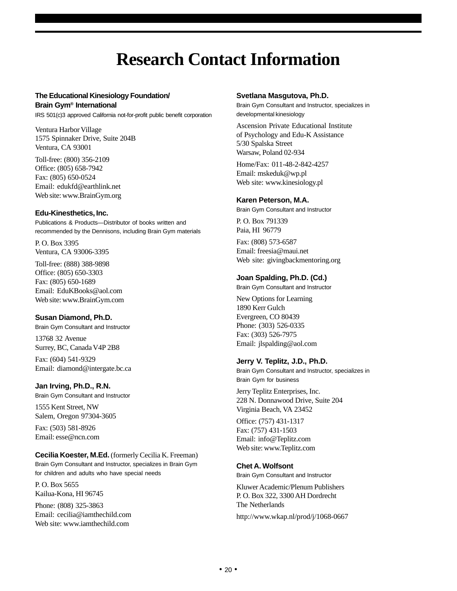## **Research Contact Information**

#### **The Educational Kinesiology Foundation/ Brain Gym® International**

IRS 501(c)3 approved California not-for-profit public benefit corporation

Ventura Harbor Village 1575 Spinnaker Drive, Suite 204B Ventura, CA 93001

Toll-free: (800) 356-2109 Office: (805) 658-7942 Fax: (805) 650-0524 Email: edukfd@earthlink.net Web site: www.BrainGym.org

#### **Edu-Kinesthetics, Inc.**

Publications & Products—Distributor of books written and recommended by the Dennisons, including Brain Gym materials

P. O. Box 3395 Ventura, CA 93006-3395

Toll-free: (888) 388-9898 Office: (805) 650-3303 Fax: (805) 650-1689 Email: EduKBooks@aol.com Web site: www.BrainGym.com

#### **Susan Diamond, Ph.D.**

Brain Gym Consultant and Instructor

13768 32 Avenue Surrey, BC, Canada V4P 2B8

Fax: (604) 541-9329 Email: diamond@intergate.bc.ca

#### **Jan Irving, Ph.D., R.N.**

Brain Gym Consultant and Instructor

1555 Kent Street, NW Salem, Oregon 97304-3605

Fax: (503) 581-8926 Email: esse@ncn.com

#### **Cecilia Koester, M.Ed.** (formerly Cecilia K. Freeman) Brain Gym Consultant and Instructor, specializes in Brain Gym for children and adults who have special needs

P. O. Box 5655 Kailua-Kona, HI 96745

Phone: (808) 325-3863 Email: cecilia@iamthechild.com Web site: www.iamthechild.com

#### **Svetlana Masgutova, Ph.D.**

Brain Gym Consultant and Instructor, specializes in developmental kinesiology

Ascension Private Educational Institute of Psychology and Edu-K Assistance 5/30 Spalska Street Warsaw, Poland 02-934

Home/Fax: 011-48-2-842-4257 Email: mskeduk@wp.pl Web site: www.kinesiology.pl

#### **Karen Peterson, M.A.**

Brain Gym Consultant and Instructor

P. O. Box 791339 Paia, HI 96779

Fax: (808) 573-6587 Email: freesia@maui.net Web site: givingbackmentoring.org

#### **Joan Spalding, Ph.D. (Cd.)**

Brain Gym Consultant and Instructor

New Options for Learning 1890 Kerr Gulch Evergreen, CO 80439 Phone: (303) 526-0335 Fax: (303) 526-7975 Email: jlspalding@aol.com

#### **Jerry V. Teplitz, J.D., Ph.D.**

Brain Gym Consultant and Instructor, specializes in Brain Gym for business

Jerry Teplitz Enterprises, Inc. 228 N. Donnawood Drive, Suite 204 Virginia Beach, VA 23452

Office: (757) 431-1317 Fax: (757) 431-1503 Email: info@Teplitz.com Web site: www.Teplitz.com

#### **Chet A. Wolfsont**

Brain Gym Consultant and Instructor

Kluwer Academic/Plenum Publishers P. O. Box 322, 3300 AH Dordrecht The Netherlands

http://www.wkap.nl/prod/j/1068-0667